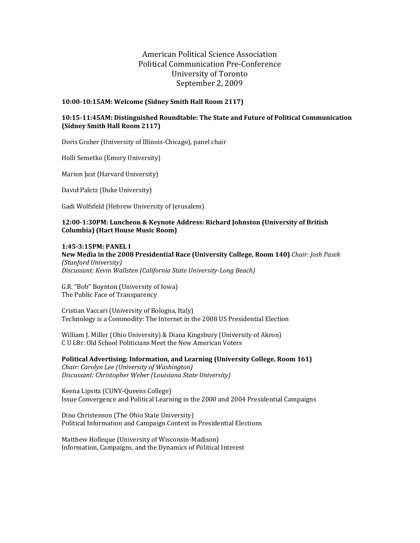### American Political Science Association Political Communication Pre-Conference University of Toronto September 2, 2009

#### **10:00‐10:15AM: Welcome (Sidney Smith Hall Room 2117)**

#### **10:15‐11:45AM: Distinguished Roundtable: The State and Future of Political Communication (Sidney Smith Hall Room 2117)**

Doris Graber (University of Illinois-Chicago), panel chair

Holli Semetko (Emory University)

Marion Just (Harvard University)

David Paletz (Duke University)

Gadi Wolfsfeld (Hebrew University of Jerusalem)

#### **12:00‐1:30PM: Luncheon & Keynote Address: Richard Johnston (University of British Columbia) (Hart House Music Room)**

**1:45‐3:15PM: PANEL I New Media in the 2008 Presidential Race (University College, Room 140)** *Chair: Josh Pasek (Stanford University) Discussant: Kevin Wallsten (California State University‐Long Beach)*

G.R. "Bob" Boynton (University of Iowa) The Public Face of Transparency

Cristian Vaccari (University of Bologna, Italy) Technology is a Commodity: The Internet in the 2008 US Presidential Election

William J. Miller (Ohio University) & Diana Kingsbury (University of Akron) C U L8r: Old School Politicians Meet the New American Voters

**Political Advertising: Information, and Learning (University College, Room 161)** *Chair: Carolyn Lee (University of Washington) Discussant: Christopher Weber (Louisiana State University)*

Keena Lipsitz (CUNY-Queens College) Issue Convergence and Political Learning in the 2000 and 2004 Presidential Campaigns

Dino Christenson (The Ohio State University) Political Information and Campaign Context in Presidential Elections

Matthew Holleque (University of Wisconsin-Madison) Information, Campaigns, and the Dynamics of Political Interest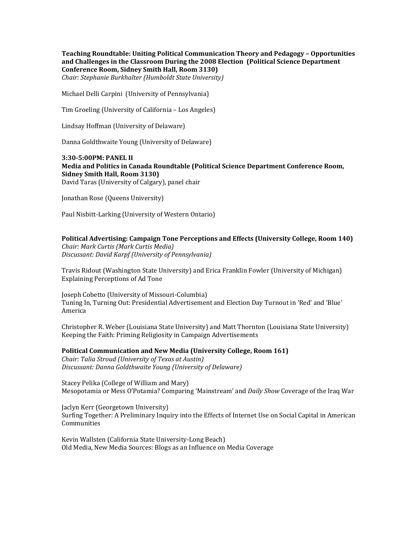**Teaching Roundtable: Uniting Political Communication Theory and Pedagogy – Opportunities and Challenges in the Classroom During the 2008 Election (Political Science Department Conference Room, Sidney Smith Hall, Room 3130)** *Chair: Stephanie Burkhalter (Humboldt State University)*

Michael Delli Carpini (University of Pennsylvania)

Tim Groeling (University of California - Los Angeles)

Lindsay Hoffman (University of Delaware)

Danna Goldthwaite Young (University of Delaware)

**3:30‐5:00PM: PANEL II Media and Politics in Canada Roundtable (Political Science Department Conference Room, Sidney Smith Hall, Room 3130)** David Taras (University of Calgary), panel chair

Jonathan Rose (Queens University)

Paul Nisbitt-Larking (University of Western Ontario)

#### **Political Advertising: Campaign Tone Perceptions and Effects (University College, Room 140)**

*Chair: Mark Curtis (Mark Curtis Media) Discussant: David Karpf (University of Pennsylvania)*

Travis Ridout (Washington State University) and Erica Franklin Fowler (University of Michigan) Explaining Perceptions of Ad Tone

Joseph Cobetto (University of Missouri-Columbia) Tuning In, Turning Out: Presidential Advertisement and Election Day Turnout in 'Red' and 'Blue' America 

Christopher R. Weber (Louisiana State University) and Matt Thornton (Louisiana State University) Keeping the Faith: Priming Religiosity in Campaign Advertisements

#### **Political Communication and New Media (University College, Room 161)**

*Chair: Talia Stroud (University of Texas at Austin) Discussant: Danna Goldthwaite Young (University of Delaware)*

Stacey Pelika (College of William and Mary) Mesopotamia or Mess O'Potamia? Comparing 'Mainstream' and *Daily Show* Coverage of the Iraq War

Jaclyn Kerr (Georgetown University) Surfing Together: A Preliminary Inquiry into the Effects of Internet Use on Social Capital in American Communities 

Kevin Wallsten (California State University-Long Beach) Old Media, New Media Sources: Blogs as an Influence on Media Coverage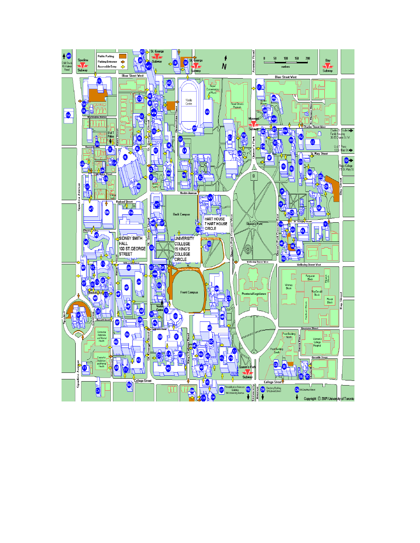